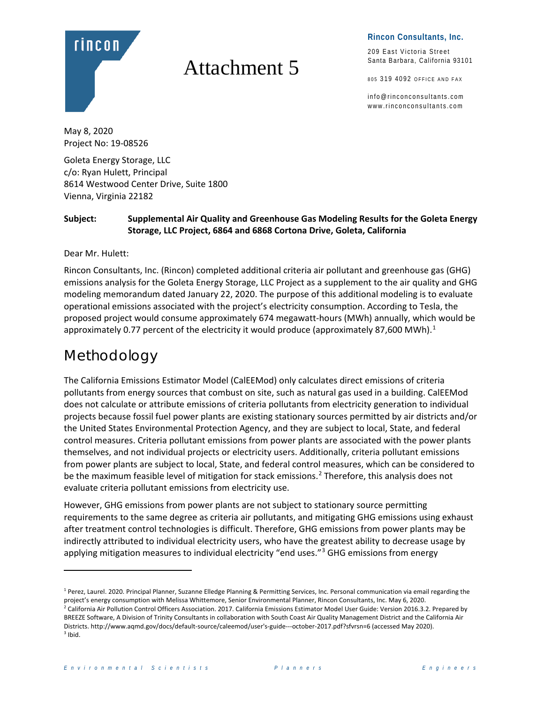

# Attachment 5

209 East Victoria Street Santa Barbara, California 93101

805 319 4092 OFFICE AND FAX

info@rinconconsultants.com www.rinconconsultants.com

May 8, 2020 Project No: 19-08526

Goleta Energy Storage, LLC c/o: Ryan Hulett, Principal 8614 Westwood Center Drive, Suite 1800 Vienna, Virginia 22182

#### **Subject: Supplemental Air Quality and Greenhouse Gas Modeling Results for the Goleta Energy Storage, LLC Project, 6864 and 6868 Cortona Drive, Goleta, California**

Dear Mr. Hulett:

Rincon Consultants, Inc. (Rincon) completed additional criteria air pollutant and greenhouse gas (GHG) emissions analysis for the Goleta Energy Storage, LLC Project as a supplement to the air quality and GHG modeling memorandum dated January 22, 2020. The purpose of this additional modeling is to evaluate operational emissions associated with the project's electricity consumption. According to Tesla, the proposed project would consume approximately 674 megawatt-hours (MWh) annually, which would be approximately 0.77 percent of the electricity it would produce (approximately 87,600 MWh).<sup>[1](#page-0-0)</sup>

# Methodology

The California Emissions Estimator Model (CalEEMod) only calculates direct emissions of criteria pollutants from energy sources that combust on site, such as natural gas used in a building. CalEEMod does not calculate or attribute emissions of criteria pollutants from electricity generation to individual projects because fossil fuel power plants are existing stationary sources permitted by air districts and/or the United States Environmental Protection Agency, and they are subject to local, State, and federal control measures. Criteria pollutant emissions from power plants are associated with the power plants themselves, and not individual projects or electricity users. Additionally, criteria pollutant emissions from power plants are subject to local, State, and federal control measures, which can be considered to be the maximum feasible level of mitigation for stack emissions.<sup>[2](#page-0-1)</sup> Therefore, this analysis does not evaluate criteria pollutant emissions from electricity use.

However, GHG emissions from power plants are not subject to stationary source permitting requirements to the same degree as criteria air pollutants, and mitigating GHG emissions using exhaust after treatment control technologies is difficult. Therefore, GHG emissions from power plants may be indirectly attributed to individual electricity users, who have the greatest ability to decrease usage by applying mitigation measures to individual electricity "end uses."<sup>[3](#page-0-2)</sup> GHG emissions from energy

<span id="page-0-0"></span><sup>&</sup>lt;sup>1</sup> Perez, Laurel. 2020. Principal Planner, Suzanne Elledge Planning & Permitting Services, Inc. Personal communication via email regarding the project's energy consumption with Melissa Whittemore, Senior Environmental Planner, Rincon Consultants, Inc. May 6, 2020.

<span id="page-0-2"></span><span id="page-0-1"></span><sup>&</sup>lt;sup>2</sup> California Air Pollution Control Officers Association. 2017. California Emissions Estimator Model User Guide: Version 2016.3.2. Prepared by BREEZE Software, A Division of Trinity Consultants in collaboration with South Coast Air Quality Management District and the California Air Districts. http://www.aqmd.gov/docs/default-source/caleemod/user's-guide---october-2017.pdf?sfvrsn=6 (accessed May 2020).  $3$  Ibid.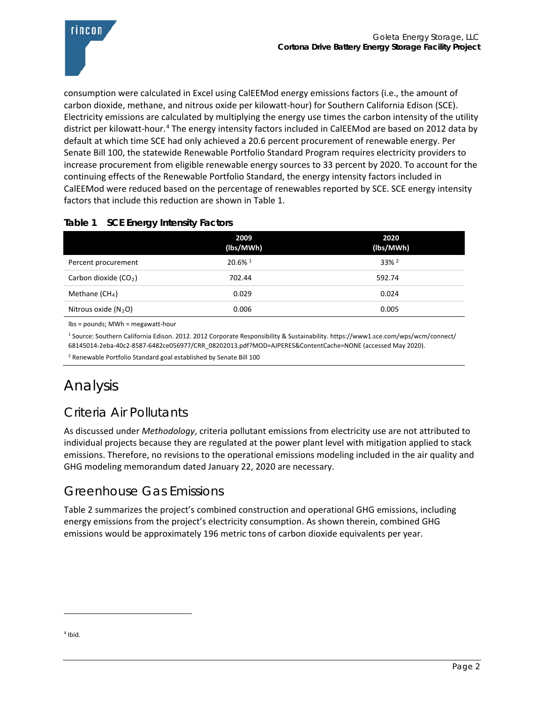

consumption were calculated in Excel using CalEEMod energy emissions factors (i.e., the amount of carbon dioxide, methane, and nitrous oxide per kilowatt-hour) for Southern California Edison (SCE). Electricity emissions are calculated by multiplying the energy use times the carbon intensity of the utility district per kilowatt-hour.<sup>[4](#page-1-1)</sup> The energy intensity factors included in CalEEMod are based on 2012 data by default at which time SCE had only achieved a 20.6 percent procurement of renewable energy. Per Senate Bill 100, the statewide Renewable Portfolio Standard Program requires electricity providers to increase procurement from eligible renewable energy sources to 33 percent by 2020. To account for the continuing effects of the Renewable Portfolio Standard, the energy intensity factors included in CalEEMod were reduced based on the percentage of renewables reported by SCE. SCE energy intensity factors that include this reduction are shown in [Table 1.](#page-1-0)

#### <span id="page-1-0"></span>**Table 1 SCE Energy Intensity Factors**

|                        | 2009<br>(lbs/MWh)     | 2020<br>(lbs/MWh)   |
|------------------------|-----------------------|---------------------|
| Percent procurement    | $20.6\%$ <sup>1</sup> | $33\%$ <sup>2</sup> |
| Carbon dioxide $(CO2)$ | 702.44                | 592.74              |
| Methane $(CH_4)$       | 0.029                 | 0.024               |
| Nitrous oxide $(N_2O)$ | 0.006                 | 0.005               |

lbs = pounds; MWh = megawatt-hour

<sup>1</sup> Source: Southern California Edison. 2012. 2012 Corporate Responsibility & Sustainability. https://www1.sce.com/wps/wcm/connect/ 68145014-2eba-40c2-8587-6482ce056977/CRR\_08202013.pdf?MOD=AJPERES&ContentCache=NONE (accessed May 2020).

<sup>2</sup> Renewable Portfolio Standard goal established by Senate Bill 100

# Analysis

## Criteria Air Pollutants

As discussed under *Methodology*, criteria pollutant emissions from electricity use are not attributed to individual projects because they are regulated at the power plant level with mitigation applied to stack emissions. Therefore, no revisions to the operational emissions modeling included in the air quality and GHG modeling memorandum dated January 22, 2020 are necessary.

### Greenhouse Gas Emissions

[Table 2](#page-2-0) summarizes the project's combined construction and operational GHG emissions, including energy emissions from the project's electricity consumption. As shown therein, combined GHG emissions would be approximately 196 metric tons of carbon dioxide equivalents per year.

<span id="page-1-1"></span> $<sup>4</sup>$  Ibid.</sup>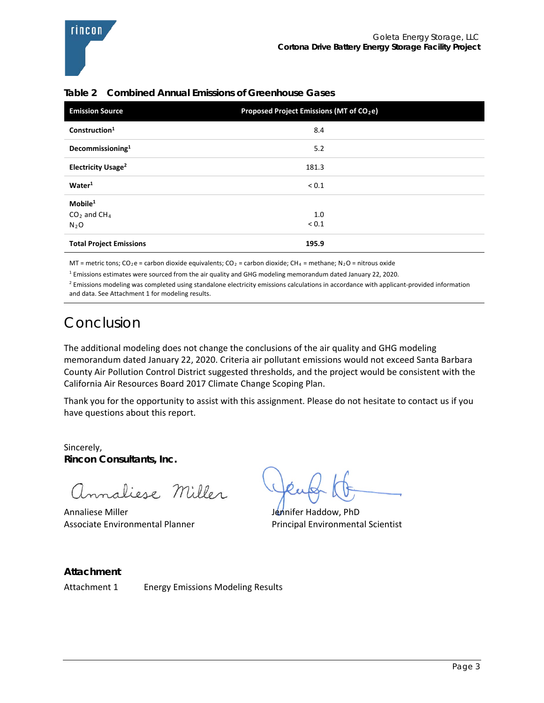| <b>Emission Source</b>         | Proposed Project Emissions (MT of CO <sub>2</sub> e) |  |
|--------------------------------|------------------------------------------------------|--|
| Construction <sup>1</sup>      | 8.4                                                  |  |
| Decommissioning <sup>1</sup>   | 5.2                                                  |  |
| Electricity Usage <sup>2</sup> | 181.3                                                |  |
| Water <sup>1</sup>             | ${}_{0.1}$                                           |  |
| $M$ obile $1$                  |                                                      |  |
| $CO2$ and CH <sub>4</sub>      | 1.0                                                  |  |
| $N_2O$                         | ${}_{0.1}$                                           |  |
| <b>Total Project Emissions</b> | 195.9                                                |  |

#### <span id="page-2-0"></span>**Table 2 Combined Annual Emissions of Greenhouse Gases**

MT = metric tons; CO<sub>2</sub>e = carbon dioxide equivalents; CO<sub>2</sub> = carbon dioxide; CH<sub>4</sub> = methane; N<sub>2</sub>O = nitrous oxide

<sup>1</sup> Emissions estimates were sourced from the air quality and GHG modeling memorandum dated January 22, 2020.

 $<sup>2</sup>$  Emissions modeling was completed using standalone electricity emissions calculations in accordance with applicant-provided information</sup> and data. See Attachment 1 for modeling results.

# Conclusion

The additional modeling does not change the conclusions of the air quality and GHG modeling memorandum dated January 22, 2020. Criteria air pollutant emissions would not exceed Santa Barbara County Air Pollution Control District suggested thresholds, and the project would be consistent with the California Air Resources Board 2017 Climate Change Scoping Plan.

Thank you for the opportunity to assist with this assignment. Please do not hesitate to contact us if you have questions about this report.

Sincerely, **Rincon Consultants, Inc.** 

maliese Miller

Annaliese Miller **Jennifer Haddow, PhD** Associate Environmental Planner **Principal Environmental Scientist** 

**Attachment**

Attachment 1 Energy Emissions Modeling Results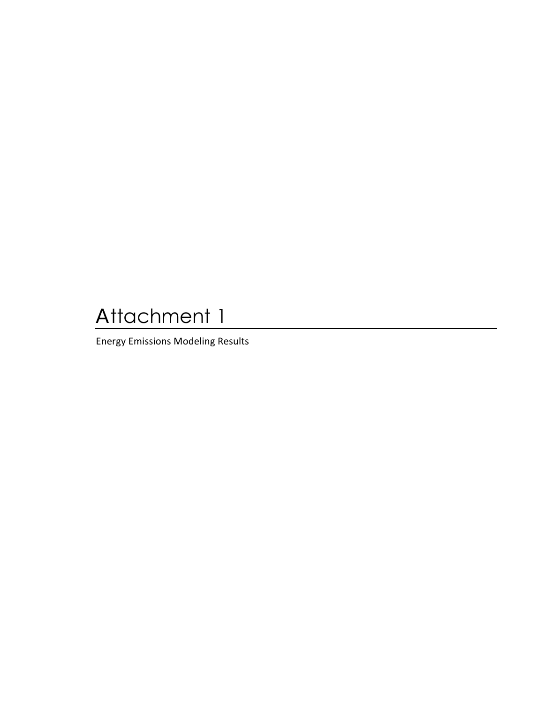# Attachment 1

**Energy Emissions Modeling Results**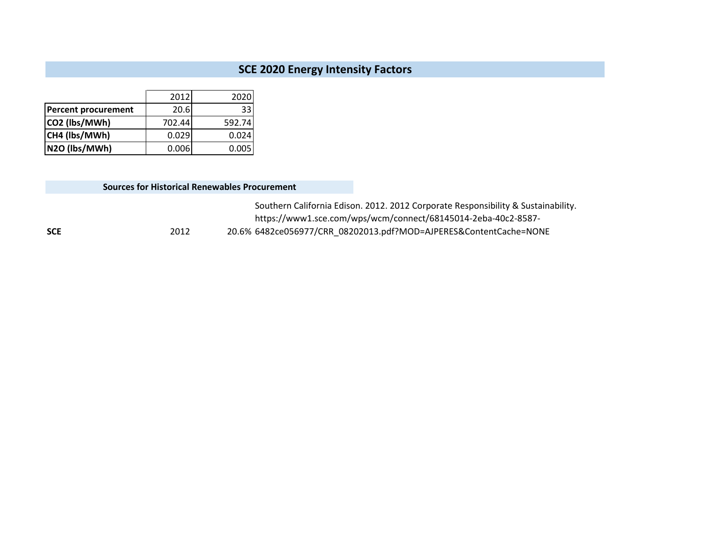#### **SCE 2020 Energy Intensity Factors**

|                            | 2012   | 2020   |
|----------------------------|--------|--------|
| <b>Percent procurement</b> | 20.6   | 33     |
| CO2 (lbs/MWh)              | 702.44 | 592.74 |
| CH4 (lbs/MWh)              | 0.029  | 0.024  |
| N2O (lbs/MWh)              | 0.006  | 0.005  |

#### **Sources for Historical Renewables Procurement**

**SCE** 2012 20.6% 6482ce056977/CRR\_08202013.pdf?MOD=AJPERES&ContentCache=NONE Southern California Edison. 2012. 2012 Corporate Responsibility & Sustainability. https://www1.sce.com/wps/wcm/connect/68145014-2eba-40c2-8587-